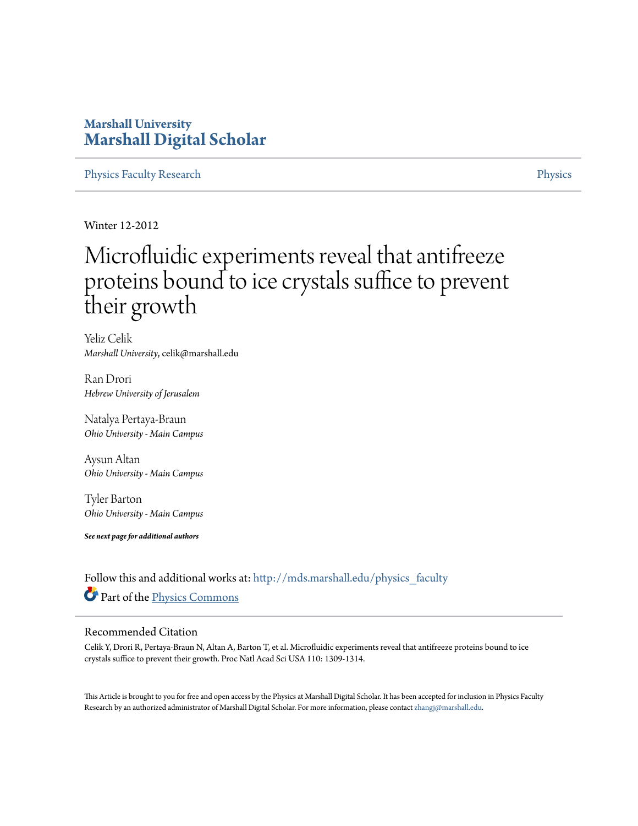# **Marshall University [Marshall Digital Scholar](http://mds.marshall.edu?utm_source=mds.marshall.edu%2Fphysics_faculty%2F40&utm_medium=PDF&utm_campaign=PDFCoverPages)**

[Physics Faculty Research](http://mds.marshall.edu/physics_faculty?utm_source=mds.marshall.edu%2Fphysics_faculty%2F40&utm_medium=PDF&utm_campaign=PDFCoverPages) **[Physics](http://mds.marshall.edu/physics?utm_source=mds.marshall.edu%2Fphysics_faculty%2F40&utm_medium=PDF&utm_campaign=PDFCoverPages)** Physics **Physics** 

Winter 12-2012

# Microfluidic experiments reveal that antifreeze proteins bound to ice crystals suffice to prevent their growth

Yeliz Celik *Marshall University*, celik@marshall.edu

Ran Drori *Hebrew University of Jerusalem*

Natalya Pertaya-Braun *Ohio University - Main Campus*

Aysun Altan *Ohio University - Main Campus*

Tyler Barton *Ohio University - Main Campus*

*See next page for additional authors*

Follow this and additional works at: [http://mds.marshall.edu/physics\\_faculty](http://mds.marshall.edu/physics_faculty?utm_source=mds.marshall.edu%2Fphysics_faculty%2F40&utm_medium=PDF&utm_campaign=PDFCoverPages) Part of the [Physics Commons](http://network.bepress.com/hgg/discipline/193?utm_source=mds.marshall.edu%2Fphysics_faculty%2F40&utm_medium=PDF&utm_campaign=PDFCoverPages)

## Recommended Citation

Celik Y, Drori R, Pertaya-Braun N, Altan A, Barton T, et al. Microfluidic experiments reveal that antifreeze proteins bound to ice crystals suffice to prevent their growth. Proc Natl Acad Sci USA 110: 1309-1314.

This Article is brought to you for free and open access by the Physics at Marshall Digital Scholar. It has been accepted for inclusion in Physics Faculty Research by an authorized administrator of Marshall Digital Scholar. For more information, please contact [zhangj@marshall.edu.](mailto:zhangj@marshall.edu)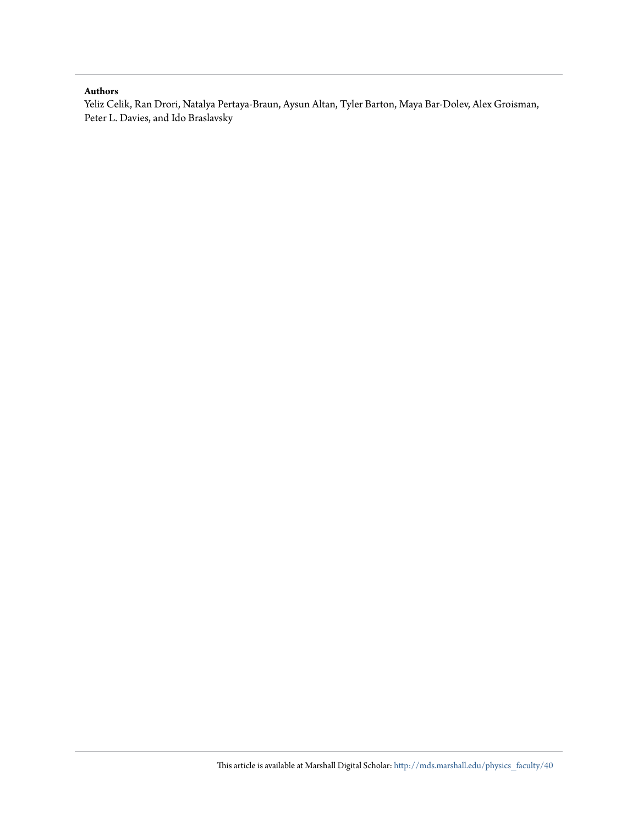### **Authors**

Yeliz Celik, Ran Drori, Natalya Pertaya-Braun, Aysun Altan, Tyler Barton, Maya Bar-Dolev, Alex Groisman, Peter L. Davies, and Ido Braslavsky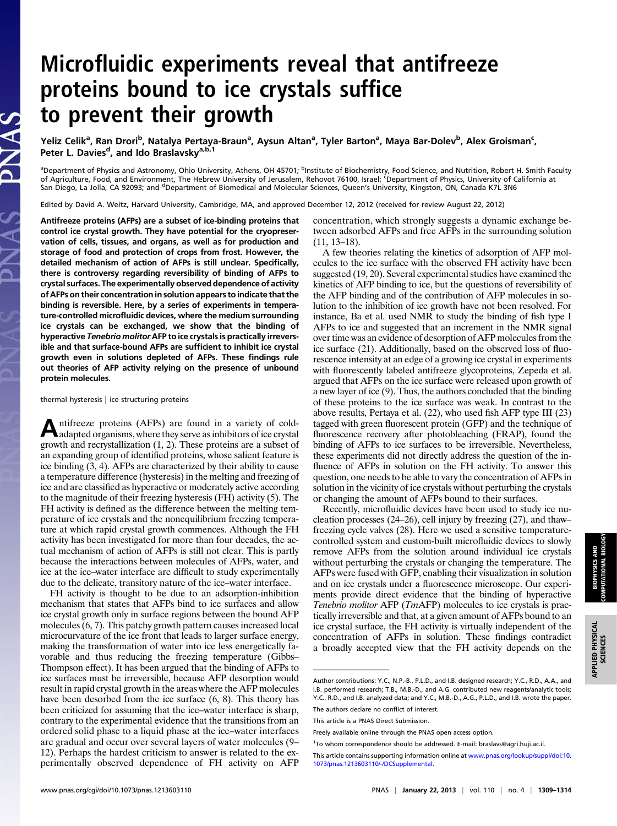# Microfluidic experiments reveal that antifreeze proteins bound to ice crystals suffice to prevent their growth

Yeliz Celik<sup>a</sup>, Ran Drori<sup>b</sup>, Natalya Pertaya-Braun<sup>a</sup>, Aysun Altan<sup>a</sup>, Tyler Barton<sup>a</sup>, Maya Bar-Dolev<sup>b</sup>, Alex Groisman<sup>c</sup>, Peter L. Davies<sup>d</sup>, and Ido Braslavsky<sup>a,b,1</sup>

<sup>a</sup>Department of Physics and Astronomy, Ohio University, Athens, OH 45701; <sup>b</sup>Institute of Biochemistry, Food Science, and Nutrition, Robert H. Smith Faculty of Agriculture, Food, and Environment, The Hebrew University of Jerusalem, Rehovot 76100, Israel; <sup>5</sup>Department of Physics, University of California at San Diego, La Jolla, CA 92093; and <sup>d</sup>Department of Biomedical and Molecular Sciences, Queen's University, Kingston, ON, Canada K7L 3N6

Edited by David A. Weitz, Harvard University, Cambridge, MA, and approved December 12, 2012 (received for review August 22, 2012)

Antifreeze proteins (AFPs) are a subset of ice-binding proteins that control ice crystal growth. They have potential for the cryopreservation of cells, tissues, and organs, as well as for production and storage of food and protection of crops from frost. However, the detailed mechanism of action of AFPs is still unclear. Specifically, there is controversy regarding reversibility of binding of AFPs to crystal surfaces. The experimentally observed dependence of activity of AFPs on their concentration in solution appears to indicate that the binding is reversible. Here, by a series of experiments in temperature-controlled microfluidic devices, where the medium surrounding ice crystals can be exchanged, we show that the binding of hyperactive Tenebrio molitor AFP to ice crystals is practically irreversible and that surface-bound AFPs are sufficient to inhibit ice crystal growth even in solutions depleted of AFPs. These findings rule out theories of AFP activity relying on the presence of unbound protein molecules.

#### thermal hysteresis | ice structuring proteins

Antifreeze proteins (AFPs) are found in a variety of cold-adapted organisms, where they serve as inhibitors of ice crystal growth and recrystallization (1, 2). These proteins are a subset of an expanding group of identified proteins, whose salient feature is ice binding (3, 4). AFPs are characterized by their ability to cause a temperature difference (hysteresis) in the melting and freezing of ice and are classified as hyperactive or moderately active according to the magnitude of their freezing hysteresis (FH) activity (5). The FH activity is defined as the difference between the melting temperature of ice crystals and the nonequilibrium freezing temperature at which rapid crystal growth commences. Although the FH activity has been investigated for more than four decades, the actual mechanism of action of AFPs is still not clear. This is partly because the interactions between molecules of AFPs, water, and ice at the ice–water interface are difficult to study experimentally due to the delicate, transitory nature of the ice–water interface.

FH activity is thought to be due to an adsorption-inhibition mechanism that states that AFPs bind to ice surfaces and allow ice crystal growth only in surface regions between the bound AFP molecules (6, 7). This patchy growth pattern causes increased local microcurvature of the ice front that leads to larger surface energy, making the transformation of water into ice less energetically favorable and thus reducing the freezing temperature (Gibbs– Thompson effect). It has been argued that the binding of AFPs to ice surfaces must be irreversible, because AFP desorption would result in rapid crystal growth in the areas where the AFP molecules have been desorbed from the ice surface (6, 8). This theory has been criticized for assuming that the ice–water interface is sharp, contrary to the experimental evidence that the transitions from an ordered solid phase to a liquid phase at the ice–water interfaces are gradual and occur over several layers of water molecules (9– 12). Perhaps the hardest criticism to answer is related to the experimentally observed dependence of FH activity on AFP concentration, which strongly suggests a dynamic exchange between adsorbed AFPs and free AFPs in the surrounding solution (11, 13–18).

A few theories relating the kinetics of adsorption of AFP molecules to the ice surface with the observed FH activity have been suggested (19, 20). Several experimental studies have examined the kinetics of AFP binding to ice, but the questions of reversibility of the AFP binding and of the contribution of AFP molecules in solution to the inhibition of ice growth have not been resolved. For instance, Ba et al. used NMR to study the binding of fish type I AFPs to ice and suggested that an increment in the NMR signal over time was an evidence of desorption of AFP molecules from the ice surface (21). Additionally, based on the observed loss of fluorescence intensity at an edge of a growing ice crystal in experiments with fluorescently labeled antifreeze glycoproteins, Zepeda et al. argued that AFPs on the ice surface were released upon growth of a new layer of ice (9). Thus, the authors concluded that the binding of these proteins to the ice surface was weak. In contrast to the above results, Pertaya et al. (22), who used fish AFP type III (23) tagged with green fluorescent protein (GFP) and the technique of fluorescence recovery after photobleaching (FRAP), found the binding of AFPs to ice surfaces to be irreversible. Nevertheless, these experiments did not directly address the question of the influence of AFPs in solution on the FH activity. To answer this question, one needs to be able to vary the concentration of AFPs in solution in the vicinity of ice crystals without perturbing the crystals or changing the amount of AFPs bound to their surfaces.

Recently, microfluidic devices have been used to study ice nucleation processes (24–26), cell injury by freezing (27), and thaw– freezing cycle valves (28). Here we used a sensitive temperaturecontrolled system and custom-built microfluidic devices to slowly remove AFPs from the solution around individual ice crystals without perturbing the crystals or changing the temperature. The AFPs were fused with GFP, enabling their visualization in solution and on ice crystals under a fluorescence microscope. Our experiments provide direct evidence that the binding of hyperactive Tenebrio molitor AFP (TmAFP) molecules to ice crystals is practically irreversible and that, at a given amount of AFPs bound to an ice crystal surface, the FH activity is virtually independent of the concentration of AFPs in solution. These findings contradict a broadly accepted view that the FH activity depends on the

APPLIED PHYSICAL SCIENCES

APPLIED PHYSICAL<br>SCIENCES

Author contributions: Y.C., N.P.-B., P.L.D., and I.B. designed research; Y.C., R.D., A.A., and I.B. performed research; T.B., M.B.-D., and A.G. contributed new reagents/analytic tools; Y.C., R.D., and I.B. analyzed data; and Y.C., M.B.-D., A.G., P.L.D., and I.B. wrote the paper.

The authors declare no conflict of interest.

This article is a PNAS Direct Submission.

Freely available online through the PNAS open access option.

<sup>&</sup>lt;sup>1</sup>To whom correspondence should be addressed. E-mail: [braslavs@agri.huji.ac.il.](mailto:braslavs@agri.huji.ac.il)

This article contains supporting information online at [www.pnas.org/lookup/suppl/doi:10.](http://www.pnas.org/lookup/suppl/doi:10.1073/pnas.1213603110/-/DCSupplemental) [1073/pnas.1213603110/-/DCSupplemental](http://www.pnas.org/lookup/suppl/doi:10.1073/pnas.1213603110/-/DCSupplemental).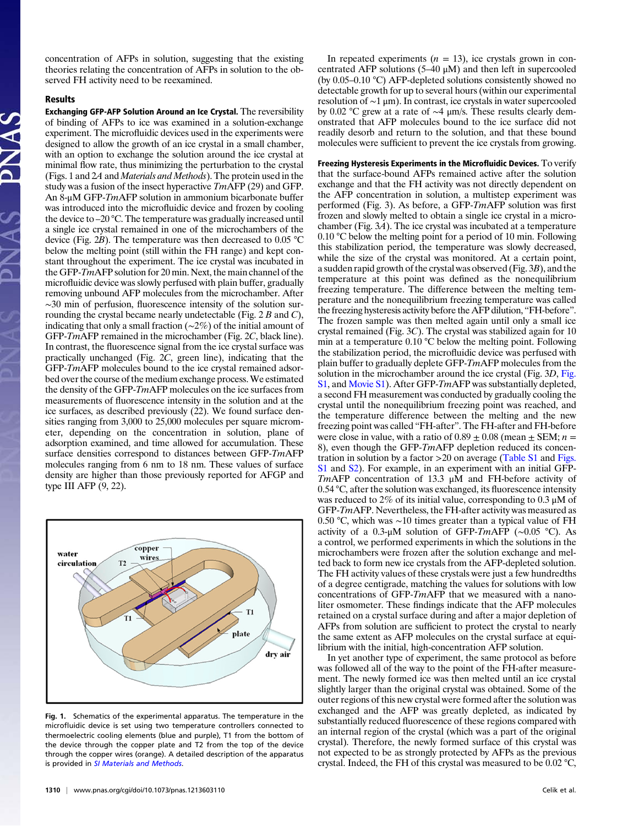concentration of AFPs in solution, suggesting that the existing theories relating the concentration of AFPs in solution to the observed FH activity need to be reexamined.

#### Results

Exchanging GFP-AFP Solution Around an Ice Crystal. The reversibility of binding of AFPs to ice was examined in a solution-exchange experiment. The microfluidic devices used in the experiments were designed to allow the growth of an ice crystal in a small chamber, with an option to exchange the solution around the ice crystal at minimal flow rate, thus minimizing the perturbation to the crystal (Figs. 1 and 2A and Materials and Methods). The protein used in the study was a fusion of the insect hyperactive TmAFP (29) and GFP. An 8-μM GFP-TmAFP solution in ammonium bicarbonate buffer was introduced into the microfluidic device and frozen by cooling the device to –20 °C. The temperature was gradually increased until a single ice crystal remained in one of the microchambers of the device (Fig. 2B). The temperature was then decreased to 0.05 °C below the melting point (still within the FH range) and kept constant throughout the experiment. The ice crystal was incubated in the GFP-TmAFP solution for 20 min. Next, the main channel of the microfluidic device was slowly perfused with plain buffer, gradually removing unbound AFP molecules from the microchamber. After ∼30 min of perfusion, fluorescence intensity of the solution surrounding the crystal became nearly undetectable (Fig. 2 B and C), indicating that only a small fraction (∼2%) of the initial amount of GFP-TmAFP remained in the microchamber (Fig. 2C, black line). In contrast, the fluorescence signal from the ice crystal surface was practically unchanged (Fig. 2C, green line), indicating that the GFP-TmAFP molecules bound to the ice crystal remained adsorbed over the course of the medium exchange process.We estimated the density of the GFP-TmAFP molecules on the ice surfaces from measurements of fluorescence intensity in the solution and at the ice surfaces, as described previously (22). We found surface densities ranging from 3,000 to 25,000 molecules per square micrometer, depending on the concentration in solution, plane of adsorption examined, and time allowed for accumulation. These surface densities correspond to distances between GFP-TmAFP molecules ranging from 6 nm to 18 nm. These values of surface density are higher than those previously reported for AFGP and type III AFP (9, 22).



Fig. 1. Schematics of the experimental apparatus. The temperature in the microfluidic device is set using two temperature controllers connected to thermoelectric cooling elements (blue and purple), T1 from the bottom of the device through the copper plate and T2 from the top of the device through the copper wires (orange). A detailed description of the apparatus is provided in [SI Materials and Methods](http://www.pnas.org/lookup/suppl/doi:10.1073/pnas.1213603110/-/DCSupplemental/pnas.201213603SI.pdf?targetid=nameddest=STXT).

In repeated experiments  $(n = 13)$ , ice crystals grown in concentrated AFP solutions  $(5-40 \mu M)$  and then left in supercooled (by 0.05–0.10 °C) AFP-depleted solutions consistently showed no detectable growth for up to several hours (within our experimental resolution of ∼1 μm). In contrast, ice crystals in water supercooled by 0.02 °C grew at a rate of ∼4 μm/s. These results clearly demonstrated that AFP molecules bound to the ice surface did not readily desorb and return to the solution, and that these bound molecules were sufficient to prevent the ice crystals from growing.

Freezing Hysteresis Experiments in the Microfluidic Devices. To verify that the surface-bound AFPs remained active after the solution exchange and that the FH activity was not directly dependent on the AFP concentration in solution, a multistep experiment was performed (Fig. 3). As before, a GFP-TmAFP solution was first frozen and slowly melted to obtain a single ice crystal in a microchamber (Fig. 3A). The ice crystal was incubated at a temperature 0.10 °C below the melting point for a period of 10 min. Following this stabilization period, the temperature was slowly decreased, while the size of the crystal was monitored. At a certain point, a sudden rapid growth of the crystal was observed (Fig. 3B), and the temperature at this point was defined as the nonequilibrium freezing temperature. The difference between the melting temperature and the nonequilibrium freezing temperature was called the freezing hysteresis activity before the AFP dilution, "FH-before". The frozen sample was then melted again until only a small ice crystal remained (Fig. 3C). The crystal was stabilized again for 10 min at a temperature 0.10 °C below the melting point. Following the stabilization period, the microfluidic device was perfused with plain buffer to gradually deplete GFP-TmAFP molecules from the solution in the microchamber around the ice crystal ([Fig.](http://www.pnas.org/lookup/suppl/doi:10.1073/pnas.1213603110/-/DCSupplemental/pnas.201213603SI.pdf?targetid=nameddest=SF1) 3D, Fig. [S1,](http://www.pnas.org/lookup/suppl/doi:10.1073/pnas.1213603110/-/DCSupplemental/pnas.201213603SI.pdf?targetid=nameddest=SF1) and [Movie S1\)](http://www.pnas.org/lookup/suppl/doi:10.1073/pnas.1213603110/-/DCSupplemental/sm01.wmv). After GFP-*TmAFP* was substantially depleted, a second FH measurement was conducted by gradually cooling the crystal until the nonequilibrium freezing point was reached, and the temperature difference between the melting and the new freezing point was called "FH-after". The FH-after and FH-before were close in value, with a ratio of  $0.89 \pm 0.08$  (mean  $\pm$  SEM; n = 8), even though the GFP-TmAFP depletion reduced its concentration in solution by a factor >20 on average [\(Table S1](http://www.pnas.org/lookup/suppl/doi:10.1073/pnas.1213603110/-/DCSupplemental/pnas.201213603SI.pdf?targetid=nameddest=ST1) and [Figs.](http://www.pnas.org/lookup/suppl/doi:10.1073/pnas.1213603110/-/DCSupplemental/pnas.201213603SI.pdf?targetid=nameddest=SF1) [S1](http://www.pnas.org/lookup/suppl/doi:10.1073/pnas.1213603110/-/DCSupplemental/pnas.201213603SI.pdf?targetid=nameddest=SF1) and [S2\)](http://www.pnas.org/lookup/suppl/doi:10.1073/pnas.1213603110/-/DCSupplemental/pnas.201213603SI.pdf?targetid=nameddest=SF2). For example, in an experiment with an initial GFP-TmAFP concentration of 13.3 μM and FH-before activity of 0.54 °C, after the solution was exchanged, its fluorescence intensity was reduced to 2% of its initial value, corresponding to 0.3  $\mu$ M of GFP-TmAFP. Nevertheless, the FH-after activity was measured as 0.50 °C, which was ∼10 times greater than a typical value of FH activity of a 0.3-μM solution of GFP-TmAFP (∼0.05 °C). As a control, we performed experiments in which the solutions in the microchambers were frozen after the solution exchange and melted back to form new ice crystals from the AFP-depleted solution. The FH activity values of these crystals were just a few hundredths of a degree centigrade, matching the values for solutions with low concentrations of GFP-TmAFP that we measured with a nanoliter osmometer. These findings indicate that the AFP molecules retained on a crystal surface during and after a major depletion of AFPs from solution are sufficient to protect the crystal to nearly the same extent as AFP molecules on the crystal surface at equilibrium with the initial, high-concentration AFP solution.

In yet another type of experiment, the same protocol as before was followed all of the way to the point of the FH-after measurement. The newly formed ice was then melted until an ice crystal slightly larger than the original crystal was obtained. Some of the outer regions of this new crystal were formed after the solution was exchanged and the AFP was greatly depleted, as indicated by substantially reduced fluorescence of these regions compared with an internal region of the crystal (which was a part of the original crystal). Therefore, the newly formed surface of this crystal was not expected to be as strongly protected by AFPs as the previous crystal. Indeed, the FH of this crystal was measured to be 0.02 °C,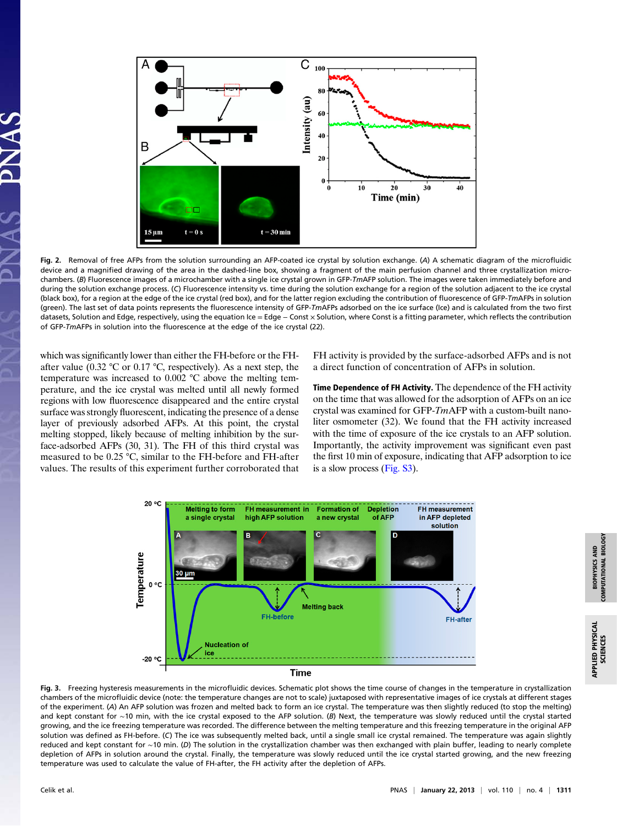

Fig. 2. Removal of free AFPs from the solution surrounding an AFP-coated ice crystal by solution exchange. (A) A schematic diagram of the microfluidic device and a magnified drawing of the area in the dashed-line box, showing a fragment of the main perfusion channel and three crystallization microchambers. (B) Fluorescence images of a microchamber with a single ice crystal grown in GFP-TmAFP solution. The images were taken immediately before and during the solution exchange process. (C) Fluorescence intensity vs. time during the solution exchange for a region of the solution adjacent to the ice crystal (black box), for a region at the edge of the ice crystal (red box), and for the latter region excluding the contribution of fluorescence of GFP-TmAFPs in solution (green). The last set of data points represents the fluorescence intensity of GFP-TmAFPs adsorbed on the ice surface (Ice) and is calculated from the two first datasets, Solution and Edge, respectively, using the equation Ice = Edge − Const × Solution, where Const is a fitting parameter, which reflects the contribution of GFP-TmAFPs in solution into the fluorescence at the edge of the ice crystal (22).

which was significantly lower than either the FH-before or the FHafter value (0.32 °C or 0.17 °C, respectively). As a next step, the temperature was increased to 0.002 °C above the melting temperature, and the ice crystal was melted until all newly formed regions with low fluorescence disappeared and the entire crystal surface was strongly fluorescent, indicating the presence of a dense layer of previously adsorbed AFPs. At this point, the crystal melting stopped, likely because of melting inhibition by the surface-adsorbed AFPs (30, 31). The FH of this third crystal was measured to be 0.25 °C, similar to the FH-before and FH-after values. The results of this experiment further corroborated that FH activity is provided by the surface-adsorbed AFPs and is not a direct function of concentration of AFPs in solution.

Time Dependence of FH Activity. The dependence of the FH activity on the time that was allowed for the adsorption of AFPs on an ice crystal was examined for GFP-TmAFP with a custom-built nanoliter osmometer (32). We found that the FH activity increased with the time of exposure of the ice crystals to an AFP solution. Importantly, the activity improvement was significant even past the first 10 min of exposure, indicating that AFP adsorption to ice is a slow process ([Fig. S3](http://www.pnas.org/lookup/suppl/doi:10.1073/pnas.1213603110/-/DCSupplemental/pnas.201213603SI.pdf?targetid=nameddest=SF3)).



#### Time

Fig. 3. Freezing hysteresis measurements in the microfluidic devices. Schematic plot shows the time course of changes in the temperature in crystallization chambers of the microfluidic device (note: the temperature changes are not to scale) juxtaposed with representative images of ice crystals at different stages of the experiment. (A) An AFP solution was frozen and melted back to form an ice crystal. The temperature was then slightly reduced (to stop the melting) and kept constant for ∼10 min, with the ice crystal exposed to the AFP solution. (B) Next, the temperature was slowly reduced until the crystal started growing, and the ice freezing temperature was recorded. The difference between the melting temperature and this freezing temperature in the original AFP solution was defined as FH-before. (C) The ice was subsequently melted back, until a single small ice crystal remained. The temperature was again slightly reduced and kept constant for ∼10 min. (D) The solution in the crystallization chamber was then exchanged with plain buffer, leading to nearly complete depletion of AFPs in solution around the crystal. Finally, the temperature was slowly reduced until the ice crystal started growing, and the new freezing temperature was used to calculate the value of FH-after, the FH activity after the depletion of AFPs.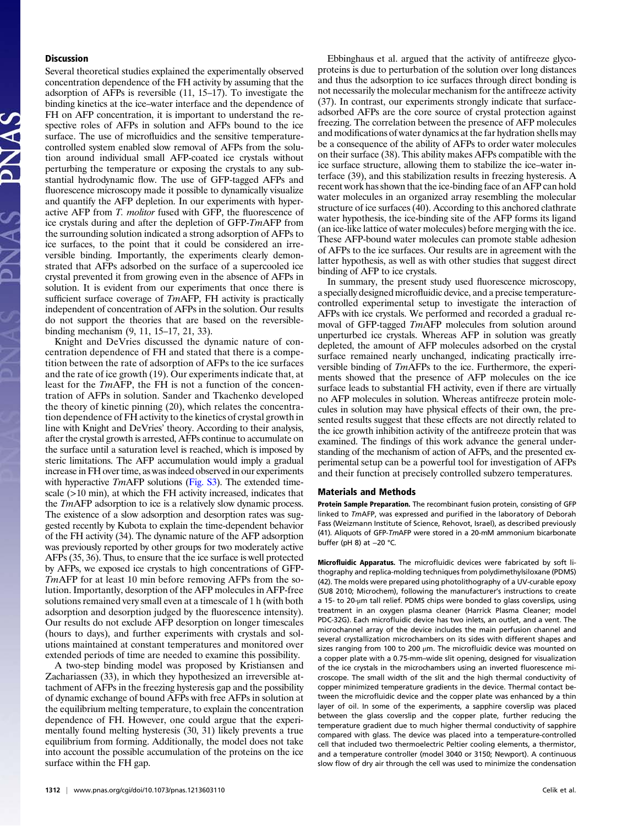### **Discussion**

Several theoretical studies explained the experimentally observed concentration dependence of the FH activity by assuming that the adsorption of AFPs is reversible (11, 15–17). To investigate the binding kinetics at the ice–water interface and the dependence of FH on AFP concentration, it is important to understand the respective roles of AFPs in solution and AFPs bound to the ice surface. The use of microfluidics and the sensitive temperaturecontrolled system enabled slow removal of AFPs from the solution around individual small AFP-coated ice crystals without perturbing the temperature or exposing the crystals to any substantial hydrodynamic flow. The use of GFP-tagged AFPs and fluorescence microscopy made it possible to dynamically visualize and quantify the AFP depletion. In our experiments with hyperactive AFP from T. molitor fused with GFP, the fluorescence of ice crystals during and after the depletion of GFP-TmAFP from the surrounding solution indicated a strong adsorption of AFPs to ice surfaces, to the point that it could be considered an irreversible binding. Importantly, the experiments clearly demonstrated that AFPs adsorbed on the surface of a supercooled ice crystal prevented it from growing even in the absence of AFPs in solution. It is evident from our experiments that once there is sufficient surface coverage of TmAFP, FH activity is practically independent of concentration of AFPs in the solution. Our results do not support the theories that are based on the reversiblebinding mechanism (9, 11, 15–17, 21, 33).

Knight and DeVries discussed the dynamic nature of concentration dependence of FH and stated that there is a competition between the rate of adsorption of AFPs to the ice surfaces and the rate of ice growth (19). Our experiments indicate that, at least for the TmAFP, the FH is not a function of the concentration of AFPs in solution. Sander and Tkachenko developed the theory of kinetic pinning (20), which relates the concentration dependence of FH activity to the kinetics of crystal growth in line with Knight and DeVries' theory. According to their analysis, after the crystal growth is arrested, AFPs continue to accumulate on the surface until a saturation level is reached, which is imposed by steric limitations. The AFP accumulation would imply a gradual increase in FH over time, as was indeed observed in our experiments with hyperactive  $Tm$ AFP solutions [\(Fig. S3](http://www.pnas.org/lookup/suppl/doi:10.1073/pnas.1213603110/-/DCSupplemental/pnas.201213603SI.pdf?targetid=nameddest=SF3)). The extended timescale (>10 min), at which the FH activity increased, indicates that the TmAFP adsorption to ice is a relatively slow dynamic process. The existence of a slow adsorption and desorption rates was suggested recently by Kubota to explain the time-dependent behavior of the FH activity (34). The dynamic nature of the AFP adsorption was previously reported by other groups for two moderately active AFPs (35, 36). Thus, to ensure that the ice surface is well protected by AFPs, we exposed ice crystals to high concentrations of GFP-TmAFP for at least 10 min before removing AFPs from the solution. Importantly, desorption of the AFP molecules in AFP-free solutions remained very small even at a timescale of 1 h (with both adsorption and desorption judged by the fluorescence intensity). Our results do not exclude AFP desorption on longer timescales (hours to days), and further experiments with crystals and solutions maintained at constant temperatures and monitored over extended periods of time are needed to examine this possibility.

A two-step binding model was proposed by Kristiansen and Zachariassen (33), in which they hypothesized an irreversible attachment of AFPs in the freezing hysteresis gap and the possibility of dynamic exchange of bound AFPs with free AFPs in solution at the equilibrium melting temperature, to explain the concentration dependence of FH. However, one could argue that the experimentally found melting hysteresis (30, 31) likely prevents a true equilibrium from forming. Additionally, the model does not take into account the possible accumulation of the proteins on the ice surface within the FH gap.

Ebbinghaus et al. argued that the activity of antifreeze glycoproteins is due to perturbation of the solution over long distances and thus the adsorption to ice surfaces through direct bonding is not necessarily the molecular mechanism for the antifreeze activity (37). In contrast, our experiments strongly indicate that surfaceadsorbed AFPs are the core source of crystal protection against freezing. The correlation between the presence of AFP molecules and modifications of water dynamics at the far hydration shells may be a consequence of the ability of AFPs to order water molecules on their surface (38). This ability makes AFPs compatible with the ice surface structure, allowing them to stabilize the ice–water interface (39), and this stabilization results in freezing hysteresis. A recent work has shown that the ice-binding face of an AFP can hold water molecules in an organized array resembling the molecular structure of ice surfaces (40). According to this anchored clathrate water hypothesis, the ice-binding site of the AFP forms its ligand (an ice-like lattice of water molecules) before merging with the ice. These AFP-bound water molecules can promote stable adhesion of AFPs to the ice surfaces. Our results are in agreement with the latter hypothesis, as well as with other studies that suggest direct binding of AFP to ice crystals.

In summary, the present study used fluorescence microscopy, a specially designed microfluidic device, and a precise temperaturecontrolled experimental setup to investigate the interaction of AFPs with ice crystals. We performed and recorded a gradual removal of GFP-tagged TmAFP molecules from solution around unperturbed ice crystals. Whereas AFP in solution was greatly depleted, the amount of AFP molecules adsorbed on the crystal surface remained nearly unchanged, indicating practically irreversible binding of TmAFPs to the ice. Furthermore, the experiments showed that the presence of AFP molecules on the ice surface leads to substantial FH activity, even if there are virtually no AFP molecules in solution. Whereas antifreeze protein molecules in solution may have physical effects of their own, the presented results suggest that these effects are not directly related to the ice growth inhibition activity of the antifreeze protein that was examined. The findings of this work advance the general understanding of the mechanism of action of AFPs, and the presented experimental setup can be a powerful tool for investigation of AFPs and their function at precisely controlled subzero temperatures.

#### Materials and Methods

Protein Sample Preparation. The recombinant fusion protein, consisting of GFP linked to TmAFP, was expressed and purified in the laboratory of Deborah Fass (Weizmann Institute of Science, Rehovot, Israel), as described previously (41). Aliquots of GFP-TmAFP were stored in a 20-mM ammonium bicarbonate buffer (pH 8) at -20 °C.

Microfluidic Apparatus. The microfluidic devices were fabricated by soft lithography and replica-molding techniques from polydimethylsiloxane (PDMS) (42). The molds were prepared using photolithography of a UV-curable epoxy (SU8 2010; Microchem), following the manufacturer's instructions to create a 15- to 20-μm tall relief. PDMS chips were bonded to glass coverslips, using treatment in an oxygen plasma cleaner (Harrick Plasma Cleaner; model PDC-32G). Each microfluidic device has two inlets, an outlet, and a vent. The microchannel array of the device includes the main perfusion channel and several crystallization microchambers on its sides with different shapes and sizes ranging from 100 to 200 μm. The microfluidic device was mounted on a copper plate with a 0.75-mm–wide slit opening, designed for visualization of the ice crystals in the microchambers using an inverted fluorescence microscope. The small width of the slit and the high thermal conductivity of copper minimized temperature gradients in the device. Thermal contact between the microfluidic device and the copper plate was enhanced by a thin layer of oil. In some of the experiments, a sapphire coverslip was placed between the glass coverslip and the copper plate, further reducing the temperature gradient due to much higher thermal conductivity of sapphire compared with glass. The device was placed into a temperature-controlled cell that included two thermoelectric Peltier cooling elements, a thermistor, and a temperature controller (model 3040 or 3150; Newport). A continuous slow flow of dry air through the cell was used to minimize the condensation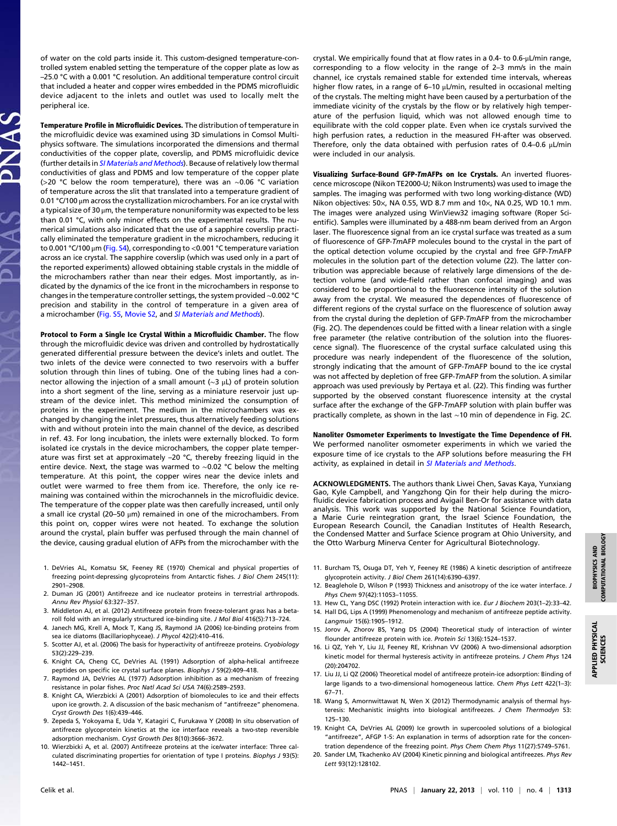of water on the cold parts inside it. This custom-designed temperature-controlled system enabled setting the temperature of the copper plate as low as –25.0 °C with a 0.001 °C resolution. An additional temperature control circuit that included a heater and copper wires embedded in the PDMS microfluidic device adjacent to the inlets and outlet was used to locally melt the peripheral ice.

Temperature Profile in Microfluidic Devices. The distribution of temperature in the microfluidic device was examined using 3D simulations in Comsol Multiphysics software. The simulations incorporated the dimensions and thermal conductivities of the copper plate, coverslip, and PDMS microfluidic device (further details in *[SI Materials and Methods](http://www.pnas.org/lookup/suppl/doi:10.1073/pnas.1213603110/-/DCSupplemental/pnas.201213603SI.pdf?targetid=nameddest=STXT)*). Because of relatively low thermal conductivities of glass and PDMS and low temperature of the copper plate (>20 °C below the room temperature), there was an ∼0.06 °C variation of temperature across the slit that translated into a temperature gradient of 0.01 °C/100 μm across the crystallization microchambers. For an ice crystal with a typical size of 30 μm, the temperature nonuniformity was expected to be less than 0.01 °C, with only minor effects on the experimental results. The numerical simulations also indicated that the use of a sapphire coverslip practically eliminated the temperature gradient in the microchambers, reducing it to 0.001 °C/100 μm [\(Fig. S4](http://www.pnas.org/lookup/suppl/doi:10.1073/pnas.1213603110/-/DCSupplemental/pnas.201213603SI.pdf?targetid=nameddest=SF4)), corresponding to <0.001 °C temperature variation across an ice crystal. The sapphire coverslip (which was used only in a part of the reported experiments) allowed obtaining stable crystals in the middle of the microchambers rather than near their edges. Most importantly, as indicated by the dynamics of the ice front in the microchambers in response to changes in the temperature controller settings, the system provided ∼0.002 °C precision and stability in the control of temperature in a given area of a microchamber [\(Fig. S5,](http://www.pnas.org/lookup/suppl/doi:10.1073/pnas.1213603110/-/DCSupplemental/pnas.201213603SI.pdf?targetid=nameddest=SF5) [Movie S2,](http://www.pnas.org/lookup/suppl/doi:10.1073/pnas.1213603110/-/DCSupplemental/sm02.wmv) and [SI Materials and Methods](http://www.pnas.org/lookup/suppl/doi:10.1073/pnas.1213603110/-/DCSupplemental/pnas.201213603SI.pdf?targetid=nameddest=STXT)).

Protocol to Form a Single Ice Crystal Within a Microfluidic Chamber. The flow through the microfluidic device was driven and controlled by hydrostatically generated differential pressure between the device's inlets and outlet. The two inlets of the device were connected to two reservoirs with a buffer solution through thin lines of tubing. One of the tubing lines had a connector allowing the injection of a small amount (∼3 μL) of protein solution into a short segment of the line, serving as a miniature reservoir just upstream of the device inlet. This method minimized the consumption of proteins in the experiment. The medium in the microchambers was exchanged by changing the inlet pressures, thus alternatively feeding solutions with and without protein into the main channel of the device, as described in ref. 43. For long incubation, the inlets were externally blocked. To form isolated ice crystals in the device microchambers, the copper plate temperature was first set at approximately –20 °C, thereby freezing liquid in the entire device. Next, the stage was warmed to ∼0.02 °C below the melting temperature. At this point, the copper wires near the device inlets and outlet were warmed to free them from ice. Therefore, the only ice remaining was contained within the microchannels in the microfluidic device. The temperature of the copper plate was then carefully increased, until only a small ice crystal (20–50 μm) remained in one of the microchambers. From this point on, copper wires were not heated. To exchange the solution around the crystal, plain buffer was perfused through the main channel of the device, causing gradual elution of AFPs from the microchamber with the

- 1. DeVries AL, Komatsu SK, Feeney RE (1970) Chemical and physical properties of freezing point-depressing glycoproteins from Antarctic fishes. J Biol Chem 245(11): 2901–2908.
- 2. Duman JG (2001) Antifreeze and ice nucleator proteins in terrestrial arthropods. Annu Rev Physiol 63:327–357.
- 3. Middleton AJ, et al. (2012) Antifreeze protein from freeze-tolerant grass has a betaroll fold with an irregularly structured ice-binding site. J Mol Biol 416(5):713–724.
- 4. Janech MG, Krell A, Mock T, Kang JS, Raymond JA (2006) Ice-binding proteins from sea ice diatoms (Bacillariophyceae). J Phycol 42(2):410–416.
- 5. Scotter AJ, et al. (2006) The basis for hyperactivity of antifreeze proteins. Cryobiology 53(2):229–239.
- 6. Knight CA, Cheng CC, DeVries AL (1991) Adsorption of alpha-helical antifreeze peptides on specific ice crystal surface planes. Biophys J 59(2):409–418.
- 7. Raymond JA, DeVries AL (1977) Adsorption inhibition as a mechanism of freezing resistance in polar fishes. Proc Natl Acad Sci USA 74(6):2589–2593.
- 8. Knight CA, Wierzbicki A (2001) Adsorption of biomolecules to ice and their effects upon ice growth. 2. A discussion of the basic mechanism of "antifreeze" phenomena. Cryst Growth Des 1(6):439–446.
- 9. Zepeda S, Yokoyama E, Uda Y, Katagiri C, Furukawa Y (2008) In situ observation of antifreeze glycoprotein kinetics at the ice interface reveals a two-step reversible adsorption mechanism. Cryst Growth Des 8(10):3666–3672.
- 10. Wierzbicki A, et al. (2007) Antifreeze proteins at the ice/water interface: Three calculated discriminating properties for orientation of type I proteins. Biophys J 93(5): 1442–1451.

crystal. We empirically found that at flow rates in a 0.4- to 0.6-μL/min range, corresponding to a flow velocity in the range of 2–3 mm/s in the main channel, ice crystals remained stable for extended time intervals, whereas higher flow rates, in a range of 6–10 μL/min, resulted in occasional melting of the crystals. The melting might have been caused by a perturbation of the immediate vicinity of the crystals by the flow or by relatively high temperature of the perfusion liquid, which was not allowed enough time to equilibrate with the cold copper plate. Even when ice crystals survived the high perfusion rates, a reduction in the measured FH-after was observed. Therefore, only the data obtained with perfusion rates of 0.4–0.6 μL/min were included in our analysis.

Visualizing Surface-Bound GFP-TmAFPs on Ice Crystals. An inverted fluorescence microscope (Nikon TE2000-U; Nikon Instruments) was used to image the samples. The imaging was performed with two long working-distance (WD) Nikon objectives: 50×, NA 0.55, WD 8.7 mm and 10×, NA 0.25, WD 10.1 mm. The images were analyzed using WinView32 imaging software (Roper Scientific). Samples were illuminated by a 488-nm beam derived from an Argon laser. The fluorescence signal from an ice crystal surface was treated as a sum of fluorescence of GFP-TmAFP molecules bound to the crystal in the part of the optical detection volume occupied by the crystal and free GFP-TmAFP molecules in the solution part of the detection volume (22). The latter contribution was appreciable because of relatively large dimensions of the detection volume (and wide-field rather than confocal imaging) and was considered to be proportional to the fluorescence intensity of the solution away from the crystal. We measured the dependences of fluorescence of different regions of the crystal surface on the fluorescence of solution away from the crystal during the depletion of GFP-TmAFP from the microchamber (Fig. 2C). The dependences could be fitted with a linear relation with a single free parameter (the relative contribution of the solution into the fluorescence signal). The fluorescence of the crystal surface calculated using this procedure was nearly independent of the fluorescence of the solution, strongly indicating that the amount of GFP-TmAFP bound to the ice crystal was not affected by depletion of free GFP-TmAFP from the solution. A similar approach was used previously by Pertaya et al. (22). This finding was further supported by the observed constant fluorescence intensity at the crystal surface after the exchange of the GFP-TmAFP solution with plain buffer was practically complete, as shown in the last ∼10 min of dependence in Fig. 2C.

Nanoliter Osmometer Experiments to Investigate the Time Dependence of FH. We performed nanoliter osmometer experiments in which we varied the exposure time of ice crystals to the AFP solutions before measuring the FH activity, as explained in detail in [SI Materials and Methods](http://www.pnas.org/lookup/suppl/doi:10.1073/pnas.1213603110/-/DCSupplemental/pnas.201213603SI.pdf?targetid=nameddest=STXT).

ACKNOWLEDGMENTS. The authors thank Liwei Chen, Savas Kaya, Yunxiang Gao, Kyle Campbell, and Yangzhong Qin for their help during the microfluidic device fabrication process and Avigail Ben-Or for assistance with data analysis. This work was supported by the National Science Foundation, a Marie Curie reintegration grant, the Israel Science Foundation, the European Research Council, the Canadian Institutes of Health Research, the Condensed Matter and Surface Science program at Ohio University, and the Otto Warburg Minerva Center for Agricultural Biotechnology.

- 11. Burcham TS, Osuga DT, Yeh Y, Feeney RE (1986) A kinetic description of antifreeze glycoprotein activity. J Biol Chem 261(14):6390–6397.
- 12. Beaglehole D, Wilson P (1993) Thickness and anisotropy of the ice water interface. J Phys Chem 97(42):11053–11055.
- 13. Hew CL, Yang DSC (1992) Protein interaction with ice. Eur J Biochem 203(1–2):33–42. 14. Hall DG, Lips A (1999) Phenomenology and mechanism of antifreeze peptide activity.
- Langmuir 15(6):1905–1912.
- 15. Jorov A, Zhorov BS, Yang DS (2004) Theoretical study of interaction of winter flounder antifreeze protein with ice. Protein Sci 13(6):1524–1537.
- 16. Li QZ, Yeh Y, Liu JJ, Feeney RE, Krishnan VV (2006) A two-dimensional adsorption kinetic model for thermal hysteresis activity in antifreeze proteins. J Chem Phys 124 (20):204702.
- 17. Liu JJ, Li QZ (2006) Theoretical model of antifreeze protein-ice adsorption: Binding of large ligands to a two-dimensional homogeneous lattice. Chem Phys Lett 422(1–3): 67–71.
- 18. Wang S, Amornwittawat N, Wen X (2012) Thermodynamic analysis of thermal hysteresis: Mechanistic insights into biological antifreezes. J Chem Thermodyn 53: 125–130.
- 19. Knight CA, DeVries AL (2009) Ice growth in supercooled solutions of a biological "antifreeze", AFGP 1-5: An explanation in terms of adsorption rate for the concentration dependence of the freezing point. Phys Chem Chem Phys 11(27):5749–5761.
- 20. Sander LM, Tkachenko AV (2004) Kinetic pinning and biological antifreezes. Phys Rev Lett 93(12):128102.